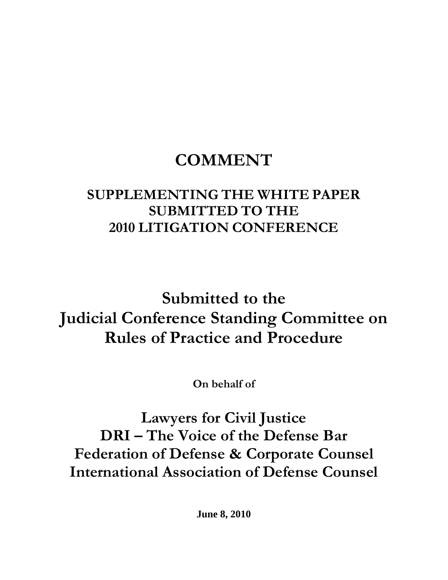# **COMMENT**

# **SUPPLEMENTING THE WHITE PAPER SUBMITTED TO THE 2010 LITIGATION CONFERENCE**

**Submitted to the Judicial Conference Standing Committee on Rules of Practice and Procedure** 

**On behalf of** 

**Lawyers for Civil Justice DRI – The Voice of the Defense Bar Federation of Defense & Corporate Counsel International Association of Defense Counsel** 

**June 8, 2010**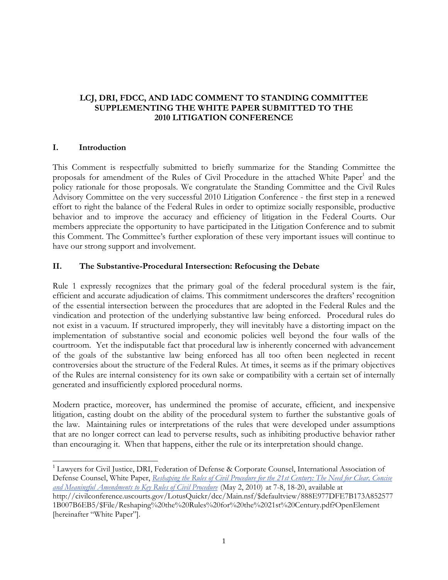#### **LCJ, DRI, FDCC, AND IADC COMMENT TO STANDING COMMITTEE SUPPLEMENTING THE WHITE PAPER SUBMITTED TO THE 2010 LITIGATION CONFERENCE**

#### **I. Introduction**

 $\overline{\phantom{a}}$ 

This Comment is respectfully submitted to briefly summarize for the Standing Committee the proposals for amendment of the Rules of Civil Procedure in the attached White Paper<sup>1</sup> and the policy rationale for those proposals. We congratulate the Standing Committee and the Civil Rules Advisory Committee on the very successful 2010 Litigation Conference - the first step in a renewed effort to right the balance of the Federal Rules in order to optimize socially responsible, productive behavior and to improve the accuracy and efficiency of litigation in the Federal Courts. Our members appreciate the opportunity to have participated in the Litigation Conference and to submit this Comment. The Committee's further exploration of these very important issues will continue to have our strong support and involvement.

#### **II. The Substantive-Procedural Intersection: Refocusing the Debate**

Rule 1 expressly recognizes that the primary goal of the federal procedural system is the fair, efficient and accurate adjudication of claims. This commitment underscores the drafters' recognition of the essential intersection between the procedures that are adopted in the Federal Rules and the vindication and protection of the underlying substantive law being enforced. Procedural rules do not exist in a vacuum. If structured improperly, they will inevitably have a distorting impact on the implementation of substantive social and economic policies well beyond the four walls of the courtroom. Yet the indisputable fact that procedural law is inherently concerned with advancement of the goals of the substantive law being enforced has all too often been neglected in recent controversies about the structure of the Federal Rules. At times, it seems as if the primary objectives of the Rules are internal consistency for its own sake or compatibility with a certain set of internally generated and insufficiently explored procedural norms.

Modern practice, moreover, has undermined the promise of accurate, efficient, and inexpensive litigation, casting doubt on the ability of the procedural system to further the substantive goals of the law. Maintaining rules or interpretations of the rules that were developed under assumptions that are no longer correct can lead to perverse results, such as inhibiting productive behavior rather than encouraging it. When that happens, either the rule or its interpretation should change.

<sup>&</sup>lt;sup>1</sup> Lawyers for Civil Justice, DRI, Federation of Defense & Corporate Counsel, International Association of Defense Counsel, White Paper, *Reshaping the Rules of Civil Procedure for the 21st Century: The Need for Clear, Concise and Meaningful Amendments to Key Rules of Civil Procedure* (May 2, 2010) at 7-8, 18-20, available at

http://civilconference.uscourts.gov/LotusQuickr/dcc/Main.nsf/\$defaultview/888E977DFE7B173A852577 1B007B6EB5/\$File/Reshaping%20the%20Rules%20for%20the%2021st%20Century.pdf?OpenElement [hereinafter "White Paper"].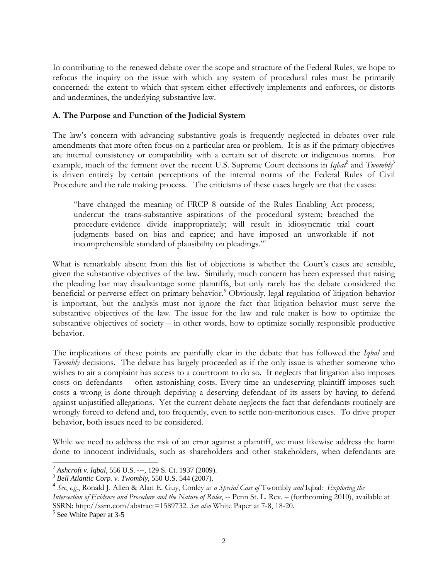In contributing to the renewed debate over the scope and structure of the Federal Rules, we hope to refocus the inquiry on the issue with which any system of procedural rules must be primarily concerned: the extent to which that system either effectively implements and enforces, or distorts and undermines, the underlying substantive law.

#### **A. The Purpose and Function of the Judicial System**

The law's concern with advancing substantive goals is frequently neglected in debates over rule amendments that more often focus on a particular area or problem. It is as if the primary objectives are internal consistency or compatibility with a certain set of discrete or indigenous norms. For example, much of the ferment over the recent U.S. Supreme Court decisions in *Iqbal<sup>2</sup>* and *Twombly*<sup>3</sup> is driven entirely by certain perceptions of the internal norms of the Federal Rules of Civil Procedure and the rule making process. The criticisms of these cases largely are that the cases:

"have changed the meaning of FRCP 8 outside of the Rules Enabling Act process; undercut the trans-substantive aspirations of the procedural system; breached the procedure-evidence divide inappropriately; will result in idiosyncratic trial court judgments based on bias and caprice; and have imposed an unworkable if not incomprehensible standard of plausibility on pleadings."4

What is remarkably absent from this list of objections is whether the Court's cases are sensible, given the substantive objectives of the law. Similarly, much concern has been expressed that raising the pleading bar may disadvantage some plaintiffs, but only rarely has the debate considered the beneficial or perverse effect on primary behavior.<sup>5</sup> Obviously, legal regulation of litigation behavior is important, but the analysis must not ignore the fact that litigation behavior must serve the substantive objectives of the law. The issue for the law and rule maker is how to optimize the substantive objectives of society – in other words, how to optimize socially responsible productive behavior.

The implications of these points are painfully clear in the debate that has followed the *Iqbal* and *Twombly* decisions. The debate has largely proceeded as if the only issue is whether someone who wishes to air a complaint has access to a courtroom to do so. It neglects that litigation also imposes costs on defendants -- often astonishing costs. Every time an undeserving plaintiff imposes such costs a wrong is done through depriving a deserving defendant of its assets by having to defend against unjustified allegations. Yet the current debate neglects the fact that defendants routinely are wrongly forced to defend and, too frequently, even to settle non-meritorious cases. To drive proper behavior, both issues need to be considered.

While we need to address the risk of an error against a plaintiff, we must likewise address the harm done to innocent individuals, such as shareholders and other stakeholders, when defendants are

 $\overline{\phantom{a}}$ <sup>2</sup> *Ashcroft v. Iqbal*, 556 U.S. ---, 129 S. Ct. 1937 (2009). 3 *Bell Atlantic Corp. v. Twombly*, 550 U.S. 544 (2007).

<sup>4</sup> *See*, *e.g.*, Ronald J. Allen & Alan E. Guy, Conley *as a Special Case of* Twombly *and* Iqbal: *Exploring the Intersection of Evidence and Procedure and the Nature of Rules*, -- Penn St. L. Rev. – (forthcoming 2010), available at SSRN: http://ssrn.com/abstract=1589732. *See also* White Paper at 7-8, 18-20.

<sup>&</sup>lt;sup>5</sup> See White Paper at 3-5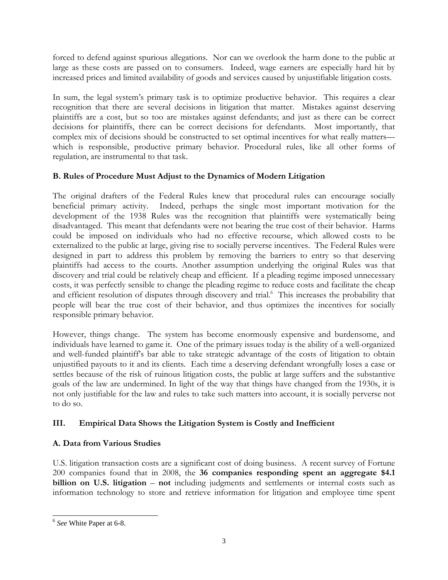forced to defend against spurious allegations. Nor can we overlook the harm done to the public at large as these costs are passed on to consumers. Indeed, wage earners are especially hard hit by increased prices and limited availability of goods and services caused by unjustifiable litigation costs.

In sum, the legal system's primary task is to optimize productive behavior. This requires a clear recognition that there are several decisions in litigation that matter. Mistakes against deserving plaintiffs are a cost, but so too are mistakes against defendants; and just as there can be correct decisions for plaintiffs, there can be correct decisions for defendants. Most importantly, that complex mix of decisions should be constructed to set optimal incentives for what really matters which is responsible, productive primary behavior. Procedural rules, like all other forms of regulation, are instrumental to that task.

# **B. Rules of Procedure Must Adjust to the Dynamics of Modern Litigation**

The original drafters of the Federal Rules knew that procedural rules can encourage socially beneficial primary activity. Indeed, perhaps the single most important motivation for the development of the 1938 Rules was the recognition that plaintiffs were systematically being disadvantaged. This meant that defendants were not bearing the true cost of their behavior. Harms could be imposed on individuals who had no effective recourse, which allowed costs to be externalized to the public at large, giving rise to socially perverse incentives. The Federal Rules were designed in part to address this problem by removing the barriers to entry so that deserving plaintiffs had access to the courts. Another assumption underlying the original Rules was that discovery and trial could be relatively cheap and efficient. If a pleading regime imposed unnecessary costs, it was perfectly sensible to change the pleading regime to reduce costs and facilitate the cheap and efficient resolution of disputes through discovery and trial.<sup>6</sup> This increases the probability that people will bear the true cost of their behavior, and thus optimizes the incentives for socially responsible primary behavior.

However, things change. The system has become enormously expensive and burdensome, and individuals have learned to game it. One of the primary issues today is the ability of a well-organized and well-funded plaintiff's bar able to take strategic advantage of the costs of litigation to obtain unjustified payouts to it and its clients. Each time a deserving defendant wrongfully loses a case or settles because of the risk of ruinous litigation costs, the public at large suffers and the substantive goals of the law are undermined. In light of the way that things have changed from the 1930s, it is not only justifiable for the law and rules to take such matters into account, it is socially perverse not to do so.

# **III. Empirical Data Shows the Litigation System is Costly and Inefficient**

# **A. Data from Various Studies**

U.S. litigation transaction costs are a significant cost of doing business. A recent survey of Fortune 200 companies found that in 2008, the **36 companies responding spent an aggregate \$4.1 billion on U.S. litigation** – **not** including judgments and settlements or internal costs such as information technology to store and retrieve information for litigation and employee time spent

 $\overline{\phantom{a}}$ <sup>6</sup> *See* White Paper at 6-8.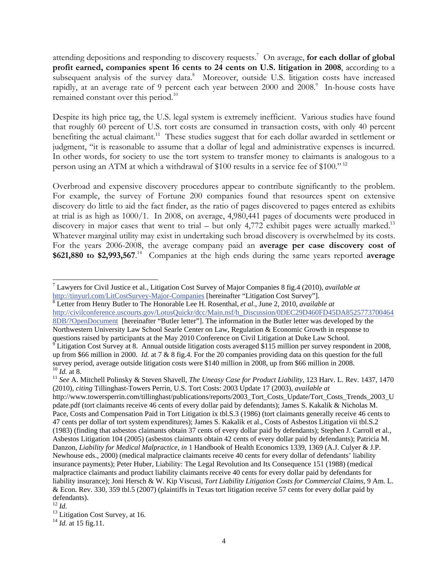attending depositions and responding to discovery requests.7 On average, **for each dollar of global profit earned, companies spent 16 cents to 24 cents on U.S. litigation in 2008**, according to a subsequent analysis of the survey data.<sup>8</sup> Moreover, outside U.S. litigation costs have increased rapidly, at an average rate of 9 percent each year between 2000 and  $2008$ .<sup>9</sup> In-house costs have remained constant over this period.<sup>10</sup>

Despite its high price tag, the U.S. legal system is extremely inefficient. Various studies have found that roughly 60 percent of U.S. tort costs are consumed in transaction costs, with only 40 percent benefiting the actual claimant.<sup>11</sup> These studies suggest that for each dollar awarded in settlement or judgment, "it is reasonable to assume that a dollar of legal and administrative expenses is incurred. In other words, for society to use the tort system to transfer money to claimants is analogous to a person using an ATM at which a withdrawal of \$100 results in a service fee of \$100." <sup>12</sup>

Overbroad and expensive discovery procedures appear to contribute significantly to the problem. For example, the survey of Fortune 200 companies found that resources spent on extensive discovery do little to aid the fact finder, as the ratio of pages discovered to pages entered as exhibits at trial is as high as 1000/1. In 2008, on average, 4,980,441 pages of documents were produced in discovery in major cases that went to trial – but only 4,772 exhibit pages were actually marked.<sup>13</sup> Whatever marginal utility may exist in undertaking such broad discovery is overwhelmed by its costs. For the years 2006-2008, the average company paid an **average per case discovery cost of \$621,880 to \$2,993,567**. 14 Companies at the high ends during the same years reported **average** 

Letter from Henry Butler to The Honorable Lee H. Rosenthal, *et al*., June 2, 2010, *available at*

http://civilconference.uscourts.gov/LotusQuickr/dcc/Main.nsf/h\_Discussion/0DEC29D460FD45DA8525773700464 8DB/?OpenDocument [hereinafter "Butler letter"]. The information in the Butler letter was developed by the Northwestern University Law School Searle Center on Law, Regulation & Economic Growth in response to questions raised by participants at the May 2010 Conference on Civil Litigation at Duke Law School.<br><sup>9</sup> Litigation Cost Survey at 8. Annual outside litigation costs averaged \$115 million per survey respondent in 2008,

<sup>7</sup> Lawyers for Civil Justice et al., Litigation Cost Survey of Major Companies 8 fig.4 (2010), *available at* http://tinyurl.com/LitCostSurvey-Major-Companies [hereinafter "Litigation Cost Survey"]. 8

up from \$66 million in 2000. *Id.* at 7 & 8 fig.4. For the 20 companies providing data on this question for the full survey period, average outside litigation costs were \$140 million in 2008, up from \$66 million in 2008.<br><sup>10</sup> *Id.* at 8.<br><sup>11</sup> *See* A. Mitchell Polinsky & Steven Shavell, *The Uneasy Case for Product Liability*, 123 Harv.

<sup>(2010),</sup> *citing* Tillinghast-Towers Perrin, U.S. Tort Costs: 2003 Update 17 (2003), *available at* http://www.towersperrin.com/tillinghast/publications/reports/2003\_Tort\_Costs\_Update/Tort\_Costs\_Trends\_2003\_U pdate.pdf (tort claimants receive 46 cents of every dollar paid by defendants); James S. Kakalik & Nicholas M. Pace, Costs and Compensation Paid in Tort Litigation ix tbl.S.3 (1986) (tort claimants generally receive 46 cents to 47 cents per dollar of tort system expenditures); James S. Kakalik et al., Costs of Asbestos Litigation vii tbl.S.2 (1983) (finding that asbestos claimants obtain 37 cents of every dollar paid by defendants); Stephen J. Carroll et al., Asbestos Litigation 104 (2005) (asbestos claimants obtain 42 cents of every dollar paid by defendants); Patricia M. Danzon, *Liability for Medical Malpractice*, *in* 1 Handbook of Health Economics 1339, 1369 (A.J. Culyer & J.P. Newhouse eds., 2000) (medical malpractice claimants receive 40 cents for every dollar of defendants' liability insurance payments); Peter Huber, Liability: The Legal Revolution and Its Consequence 151 (1988) (medical malpractice claimants and product liability claimants receive 40 cents for every dollar paid by defendants for liability insurance); Joni Hersch & W. Kip Viscusi, *Tort Liability Litigation Costs for Commercial Claims*, 9 Am. L. & Econ. Rev. 330, 359 tbl.5 (2007) (plaintiffs in Texas tort litigation receive 57 cents for every dollar paid by defendants).<br> $^{12}$  *Id.* 

<sup>&</sup>lt;sup>13</sup> Litigation Cost Survey, at 16.

<sup>&</sup>lt;sup>14</sup> *Id.* at 15 fig.11.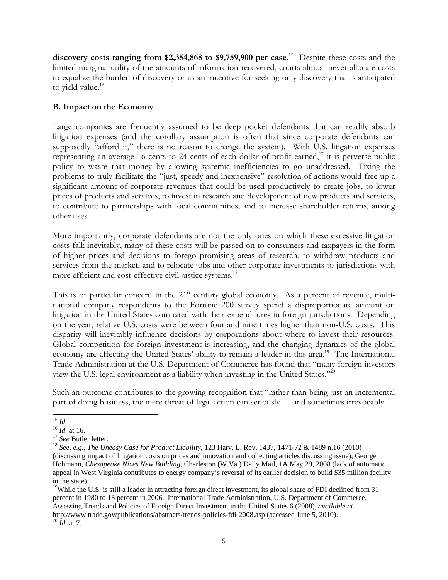**discovery costs ranging from \$2,354,868 to \$9,759,900 per case**. 15 Despite these costs and the limited marginal utility of the amounts of information recovered, courts almost never allocate costs to equalize the burden of discovery or as an incentive for seeking only discovery that is anticipated to yield value. $16$ 

#### **B. Impact on the Economy**

Large companies are frequently assumed to be deep pocket defendants that can readily absorb litigation expenses (and the corollary assumption is often that since corporate defendants can supposedly "afford it," there is no reason to change the system). With U.S. litigation expenses representing an average 16 cents to 24 cents of each dollar of profit earned,<sup>17</sup> it is perverse public policy to waste that money by allowing systemic inefficiencies to go unaddressed. Fixing the problems to truly facilitate the "just, speedy and inexpensive" resolution of actions would free up a significant amount of corporate revenues that could be used productively to create jobs, to lower prices of products and services, to invest in research and development of new products and services, to contribute to partnerships with local communities, and to increase shareholder returns, among other uses.

More importantly, corporate defendants are not the only ones on which these excessive litigation costs fall; inevitably, many of these costs will be passed on to consumers and taxpayers in the form of higher prices and decisions to forego promising areas of research, to withdraw products and services from the market, and to relocate jobs and other corporate investments to jurisdictions with more efficient and cost-effective civil justice systems.<sup>18</sup>

This is of particular concern in the  $21<sup>st</sup>$  century global economy. As a percent of revenue, multinational company respondents to the Fortune 200 survey spend a disproportionate amount on litigation in the United States compared with their expenditures in foreign jurisdictions. Depending on the year, relative U.S. costs were between four and nine times higher than non-U.S. costs. This disparity will inevitably influence decisions by corporations about where to invest their resources. Global competition for foreign investment is increasing, and the changing dynamics of the global economy are affecting the United States' ability to remain a leader in this area.<sup>19</sup> The International Trade Administration at the U.S. Department of Commerce has found that "many foreign investors view the U.S. legal environment as a liability when investing in the United States."<sup>20</sup>

Such an outcome contributes to the growing recognition that "rather than being just an incremental part of doing business, the mere threat of legal action can seriously — and sometimes irrevocably —

<sup>19</sup>While the U.S. is still a leader in attracting foreign direct investment, its global share of FDI declined from 31 percent in 1980 to 13 percent in 2006. International Trade Administration, U.S. Department of Commerce, Assessing Trends and Policies of Foreign Direct Investment in the United States 6 (2008), *available at*  http://www.trade.gov/publications/abstracts/trends-policies-fdi-2008.asp (accessed June 5, 2010). <sup>20</sup> *Id.* at 7.

 $^{15}$   $\mathit{Id}.$ 

<sup>&</sup>lt;sup>16</sup> *Id.* at 16.<br><sup>17</sup> *See* Butler letter.<br><sup>18</sup> *See, e.g., The Uneasy Case for Product Liability,* 123 Harv. L. Rev. 1437, 1471-72 & 1489 n.16 (2010) (discussing impact of litigation costs on prices and innovation and collecting articles discussing issue); George Hohmann, *Chesapeake Nixes New Building*, Charleston (W.Va.) Daily Mail, 1A May 29, 2008 (lack of automatic appeal in West Virginia contributes to energy company's reversal of its earlier decision to build \$35 million facility in the state).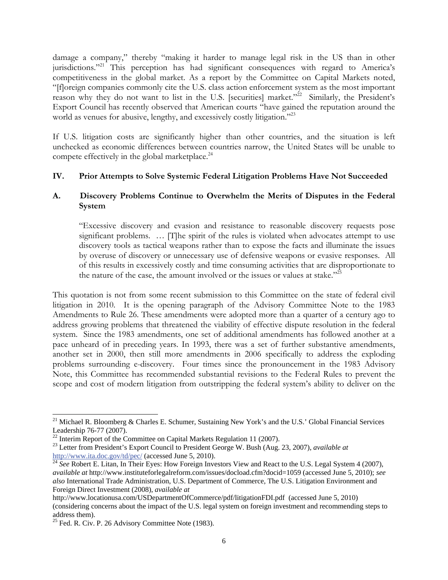damage a company," thereby "making it harder to manage legal risk in the US than in other jurisdictions."21 This perception has had significant consequences with regard to America's competitiveness in the global market. As a report by the Committee on Capital Markets noted, "[f]oreign companies commonly cite the U.S. class action enforcement system as the most important reason why they do not want to list in the U.S. [securities] market."<sup>22</sup> Similarly, the President's Export Council has recently observed that American courts "have gained the reputation around the world as venues for abusive, lengthy, and excessively costly litigation."<sup>23</sup>

If U.S. litigation costs are significantly higher than other countries, and the situation is left unchecked as economic differences between countries narrow, the United States will be unable to compete effectively in the global marketplace. $^{24}$ 

#### **IV. Prior Attempts to Solve Systemic Federal Litigation Problems Have Not Succeeded**

#### **A. Discovery Problems Continue to Overwhelm the Merits of Disputes in the Federal System**

 "Excessive discovery and evasion and resistance to reasonable discovery requests pose significant problems. ... [T]he spirit of the rules is violated when advocates attempt to use discovery tools as tactical weapons rather than to expose the facts and illuminate the issues by overuse of discovery or unnecessary use of defensive weapons or evasive responses. All of this results in excessively costly and time consuming activities that are disproportionate to the nature of the case, the amount involved or the issues or values at stake."<sup>25</sup>

This quotation is not from some recent submission to this Committee on the state of federal civil litigation in 2010. It is the opening paragraph of the Advisory Committee Note to the 1983 Amendments to Rule 26. These amendments were adopted more than a quarter of a century ago to address growing problems that threatened the viability of effective dispute resolution in the federal system. Since the 1983 amendments, one set of additional amendments has followed another at a pace unheard of in preceding years. In 1993, there was a set of further substantive amendments, another set in 2000, then still more amendments in 2006 specifically to address the exploding problems surrounding e-discovery. Four times since the pronouncement in the 1983 Advisory Note, this Committee has recommended substantial revisions to the Federal Rules to prevent the scope and cost of modern litigation from outstripping the federal system's ability to deliver on the

<sup>&</sup>lt;sup>21</sup> Michael R. Bloomberg & Charles E. Schumer, Sustaining New York's and the U.S.' Global Financial Services Leadership 76-77 (2007).

<sup>&</sup>lt;sup>22</sup> Interim Report of the Committee on Capital Markets Regulation 11 (2007).

<sup>23</sup> Letter from President's Export Council to President George W. Bush (Aug. 23, 2007), *available at*

http://www.ita.doc.gov/td/pec/ (accessed June 5, 2010). 24 *See* Robert E. Litan, In Their Eyes: How Foreign Investors View and React to the U.S. Legal System 4 (2007), *available at* http://www.instituteforlegalreform.com/issues/docload.cfm?docid=1059 (accessed June 5, 2010); *see also* International Trade Administration, U.S. Department of Commerce, The U.S. Litigation Environment and Foreign Direct Investment (2008), *available at* 

http://www.locationusa.com/USDepartmentOfCommerce/pdf/litigationFDI.pdf (accessed June 5, 2010) (considering concerns about the impact of the U.S. legal system on foreign investment and recommending steps to address them).

 $25$  Fed. R. Civ. P. 26 Advisory Committee Note (1983).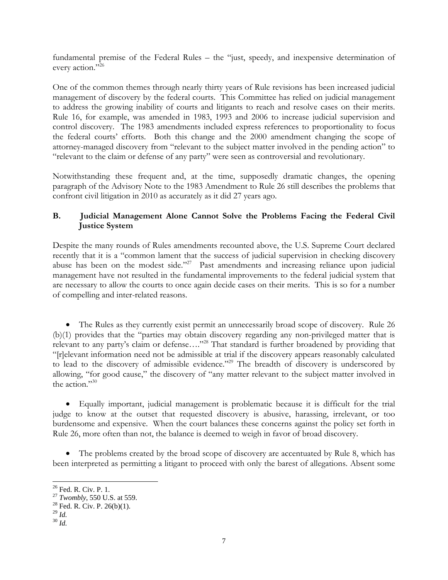fundamental premise of the Federal Rules – the "just, speedy, and inexpensive determination of every action."<sup>26</sup>

One of the common themes through nearly thirty years of Rule revisions has been increased judicial management of discovery by the federal courts. This Committee has relied on judicial management to address the growing inability of courts and litigants to reach and resolve cases on their merits. Rule 16, for example, was amended in 1983, 1993 and 2006 to increase judicial supervision and control discovery. The 1983 amendments included express references to proportionality to focus the federal courts' efforts. Both this change and the 2000 amendment changing the scope of attorney-managed discovery from "relevant to the subject matter involved in the pending action" to "relevant to the claim or defense of any party" were seen as controversial and revolutionary.

Notwithstanding these frequent and, at the time, supposedly dramatic changes, the opening paragraph of the Advisory Note to the 1983 Amendment to Rule 26 still describes the problems that confront civil litigation in 2010 as accurately as it did 27 years ago.

#### **B. Judicial Management Alone Cannot Solve the Problems Facing the Federal Civil Justice System**

Despite the many rounds of Rules amendments recounted above, the U.S. Supreme Court declared recently that it is a "common lament that the success of judicial supervision in checking discovery abuse has been on the modest side."<sup>27</sup> Past amendments and increasing reliance upon judicial management have not resulted in the fundamental improvements to the federal judicial system that are necessary to allow the courts to once again decide cases on their merits. This is so for a number of compelling and inter-related reasons.

• The Rules as they currently exist permit an unnecessarily broad scope of discovery. Rule 26 (b)(1) provides that the "parties may obtain discovery regarding any non-privileged matter that is relevant to any party's claim or defense...."<sup>28</sup> That standard is further broadened by providing that "[r]elevant information need not be admissible at trial if the discovery appears reasonably calculated to lead to the discovery of admissible evidence."<sup>29</sup> The breadth of discovery is underscored by allowing, "for good cause," the discovery of "any matter relevant to the subject matter involved in the action."30

• Equally important, judicial management is problematic because it is difficult for the trial judge to know at the outset that requested discovery is abusive, harassing, irrelevant, or too burdensome and expensive. When the court balances these concerns against the policy set forth in Rule 26, more often than not, the balance is deemed to weigh in favor of broad discovery.

• The problems created by the broad scope of discovery are accentuated by Rule 8, which has been interpreted as permitting a litigant to proceed with only the barest of allegations. Absent some

<sup>&</sup>lt;sup>26</sup> Fed. R. Civ. P. 1.

<sup>&</sup>lt;sup>27</sup> *Twombly*, 550 U.S. at 559.<br><sup>28</sup> Fed. R. Civ. P. 26(b)(1).

<sup>29</sup> *Id.* 30 *Id.*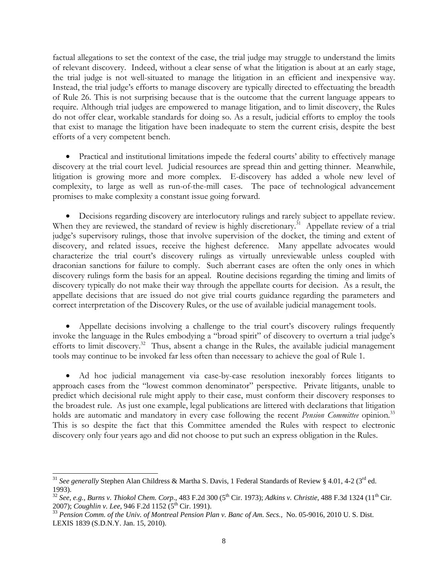factual allegations to set the context of the case, the trial judge may struggle to understand the limits of relevant discovery. Indeed, without a clear sense of what the litigation is about at an early stage, the trial judge is not well-situated to manage the litigation in an efficient and inexpensive way. Instead, the trial judge's efforts to manage discovery are typically directed to effectuating the breadth of Rule 26. This is not surprising because that is the outcome that the current language appears to require. Although trial judges are empowered to manage litigation, and to limit discovery, the Rules do not offer clear, workable standards for doing so. As a result, judicial efforts to employ the tools that exist to manage the litigation have been inadequate to stem the current crisis, despite the best efforts of a very competent bench.

• Practical and institutional limitations impede the federal courts' ability to effectively manage discovery at the trial court level. Judicial resources are spread thin and getting thinner. Meanwhile, litigation is growing more and more complex. E-discovery has added a whole new level of complexity, to large as well as run-of-the-mill cases. The pace of technological advancement promises to make complexity a constant issue going forward.

• Decisions regarding discovery are interlocutory rulings and rarely subject to appellate review. When they are reviewed, the standard of review is highly discretionary.<sup>31</sup> Appellate review of a trial judge's supervisory rulings, those that involve supervision of the docket, the timing and extent of discovery, and related issues, receive the highest deference. Many appellate advocates would characterize the trial court's discovery rulings as virtually unreviewable unless coupled with draconian sanctions for failure to comply. Such aberrant cases are often the only ones in which discovery rulings form the basis for an appeal. Routine decisions regarding the timing and limits of discovery typically do not make their way through the appellate courts for decision. As a result, the appellate decisions that are issued do not give trial courts guidance regarding the parameters and correct interpretation of the Discovery Rules, or the use of available judicial management tools.

• Appellate decisions involving a challenge to the trial court's discovery rulings frequently invoke the language in the Rules embodying a "broad spirit" of discovery to overturn a trial judge's efforts to limit discovery.<sup>32</sup> Thus, absent a change in the Rules, the available judicial management tools may continue to be invoked far less often than necessary to achieve the goal of Rule 1.

• Ad hoc judicial management via case-by-case resolution inexorably forces litigants to approach cases from the "lowest common denominator" perspective. Private litigants, unable to predict which decisional rule might apply to their case, must conform their discovery responses to the broadest rule. As just one example, legal publications are littered with declarations that litigation holds are automatic and mandatory in every case following the recent *Pension Committee* opinion*.* 33 This is so despite the fact that this Committee amended the Rules with respect to electronic discovery only four years ago and did not choose to put such an express obligation in the Rules.

l

<sup>&</sup>lt;sup>31</sup> See generally Stephen Alan Childress & Martha S. Davis, 1 Federal Standards of Review § 4.01, 4-2 (3<sup>rd</sup> ed. 1993).

<sup>&</sup>lt;sup>32</sup> See, e.g., Burns v. Thiokol Chem. Corp., 483 F.2d 300 (5<sup>th</sup> Cir. 1973); *Adkins v. Christie*, 488 F.3d 1324 (11<sup>th</sup> Cir. 2007); *Coughlin v. Lee*, 946 F.2d 1152 (5<sup>th</sup> Cir. 1991).<br><sup>33</sup> *Pension Comm. of the Univ. of Montreal Pension Plan v. Banc of Am. Secs., No.* 05-9016, 2010 U. S. Dist.

LEXIS 1839 (S.D.N.Y. Jan. 15, 2010).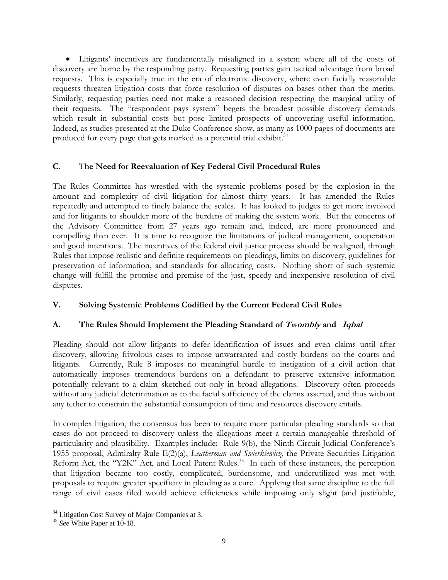• Litigants' incentives are fundamentally misaligned in a system where all of the costs of discovery are borne by the responding party. Requesting parties gain tactical advantage from broad requests. This is especially true in the era of electronic discovery, where even facially reasonable requests threaten litigation costs that force resolution of disputes on bases other than the merits. Similarly, requesting parties need not make a reasoned decision respecting the marginal utility of their requests. The "respondent pays system" begets the broadest possible discovery demands which result in substantial costs but pose limited prospects of uncovering useful information. Indeed, as studies presented at the Duke Conference show, as many as 1000 pages of documents are produced for every page that gets marked as a potential trial exhibit.<sup>34</sup>

#### **C.** T**he Need for Reevaluation of Key Federal Civil Procedural Rules**

The Rules Committee has wrestled with the systemic problems posed by the explosion in the amount and complexity of civil litigation for almost thirty years. It has amended the Rules repeatedly and attempted to finely balance the scales. It has looked to judges to get more involved and for litigants to shoulder more of the burdens of making the system work. But the concerns of the Advisory Committee from 27 years ago remain and, indeed, are more pronounced and compelling than ever. It is time to recognize the limitations of judicial management, cooperation and good intentions. The incentives of the federal civil justice process should be realigned, through Rules that impose realistic and definite requirements on pleadings, limits on discovery, guidelines for preservation of information, and standards for allocating costs. Nothing short of such systemic change will fulfill the promise and premise of the just, speedy and inexpensive resolution of civil disputes.

#### **V. Solving Systemic Problems Codified by the Current Federal Civil Rules**

# **A. The Rules Should Implement the Pleading Standard of Twombly and Iqbal**

Pleading should not allow litigants to defer identification of issues and even claims until after discovery, allowing frivolous cases to impose unwarranted and costly burdens on the courts and litigants. Currently, Rule 8 imposes no meaningful hurdle to instigation of a civil action that automatically imposes tremendous burdens on a defendant to preserve extensive information potentially relevant to a claim sketched out only in broad allegations. Discovery often proceeds without any judicial determination as to the facial sufficiency of the claims asserted, and thus without any tether to constrain the substantial consumption of time and resources discovery entails.

In complex litigation, the consensus has been to require more particular pleading standards so that cases do not proceed to discovery unless the allegations meet a certain manageable threshold of particularity and plausibility. Examples include: Rule 9(b), the Ninth Circuit Judicial Conference's 1955 proposal, Admiralty Rule E(2)(a), *Leatherman and Swierkiewicz*, the Private Securities Litigation Reform Act, the "Y2K" Act, and Local Patent Rules.<sup>35</sup> In each of these instances, the perception that litigation became too costly, complicated, burdensome, and underutilized was met with proposals to require greater specificity in pleading as a cure. Applying that same discipline to the full range of civil cases filed would achieve efficiencies while imposing only slight (and justifiable,

 $34$  Litigation Cost Survey of Major Companies at 3.

<sup>35</sup> *See* White Paper at 10-18.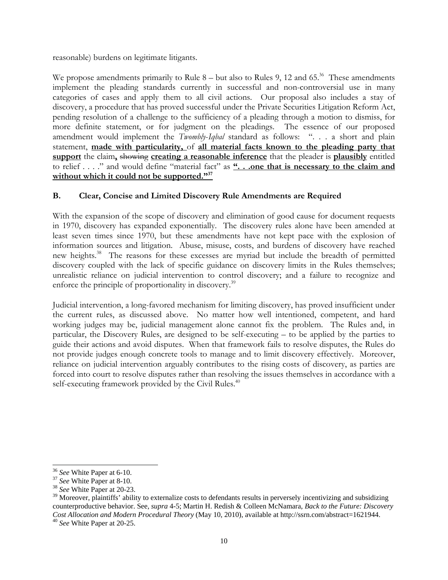reasonable) burdens on legitimate litigants.

We propose amendments primarily to Rule  $8 -$  but also to Rules 9, 12 and 65.<sup>36</sup> These amendments implement the pleading standards currently in successful and non-controversial use in many categories of cases and apply them to all civil actions. Our proposal also includes a stay of discovery, a procedure that has proved successful under the Private Securities Litigation Reform Act, pending resolution of a challenge to the sufficiency of a pleading through a motion to dismiss, for more definite statement, or for judgment on the pleadings. The essence of our proposed amendment would implement the *Twombly*-*Iqbal* standard as follows: ". . . a short and plain statement, **made with particularity,** of **all material facts known to the pleading party that support** the claim**,** showing **creating a reasonable inference** that the pleader is **plausibly** entitled to relief . . . ." and would define "material fact" as **". . .one that is necessary to the claim and**  without which it could not be supported."<sup>37</sup>

# **B. Clear, Concise and Limited Discovery Rule Amendments are Required**

With the expansion of the scope of discovery and elimination of good cause for document requests in 1970, discovery has expanded exponentially. The discovery rules alone have been amended at least seven times since 1970, but these amendments have not kept pace with the explosion of information sources and litigation. Abuse, misuse, costs, and burdens of discovery have reached new heights.<sup>38</sup> The reasons for these excesses are myriad but include the breadth of permitted discovery coupled with the lack of specific guidance on discovery limits in the Rules themselves; unrealistic reliance on judicial intervention to control discovery; and a failure to recognize and enforce the principle of proportionality in discovery.<sup>39</sup>

Judicial intervention, a long-favored mechanism for limiting discovery, has proved insufficient under the current rules, as discussed above. No matter how well intentioned, competent, and hard working judges may be, judicial management alone cannot fix the problem. The Rules and, in particular, the Discovery Rules, are designed to be self-executing – to be applied by the parties to guide their actions and avoid disputes. When that framework fails to resolve disputes, the Rules do not provide judges enough concrete tools to manage and to limit discovery effectively. Moreover, reliance on judicial intervention arguably contributes to the rising costs of discovery, as parties are forced into court to resolve disputes rather than resolving the issues themselves in accordance with a self-executing framework provided by the Civil Rules.<sup>40</sup>

<sup>36</sup> *See* White Paper at 6-10. 37 *See* White Paper at 8-10. 38 *See* White Paper at 20-23.

 $39$  Moreover, plaintiffs' ability to externalize costs to defendants results in perversely incentivizing and subsidizing counterproductive behavior. See, *supra* 4-5; Martin H. Redish & Colleen McNamara, *Back to the Future: Discovery Cost Allocation and Modern Procedural Theory* (May 10, 2010), available at http://ssrn.com/abstract=1621944. 40 *See* White Paper at 20-25.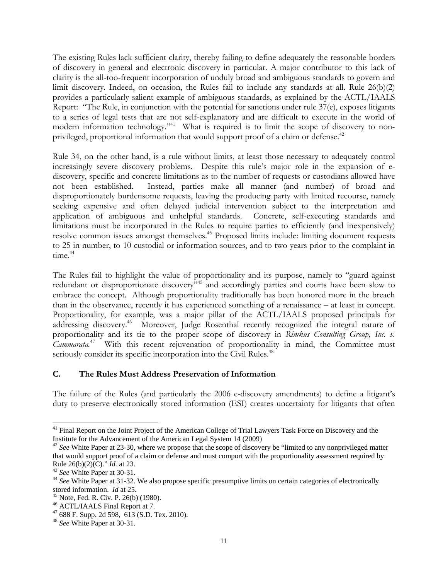The existing Rules lack sufficient clarity, thereby failing to define adequately the reasonable borders of discovery in general and electronic discovery in particular. A major contributor to this lack of clarity is the all-too-frequent incorporation of unduly broad and ambiguous standards to govern and limit discovery. Indeed, on occasion, the Rules fail to include any standards at all. Rule 26(b)(2) provides a particularly salient example of ambiguous standards, as explained by the ACTL/IAALS Report: "The Rule, in conjunction with the potential for sanctions under rule 37(e), exposes litigants to a series of legal tests that are not self-explanatory and are difficult to execute in the world of modern information technology."<sup>41</sup> What is required is to limit the scope of discovery to nonprivileged, proportional information that would support proof of a claim or defense.<sup>42</sup>

Rule 34, on the other hand, is a rule without limits, at least those necessary to adequately control increasingly severe discovery problems. Despite this rule's major role in the expansion of ediscovery, specific and concrete limitations as to the number of requests or custodians allowed have not been established. Instead, parties make all manner (and number) of broad and disproportionately burdensome requests, leaving the producing party with limited recourse, namely seeking expensive and often delayed judicial intervention subject to the interpretation and application of ambiguous and unhelpful standards. Concrete, self-executing standards and limitations must be incorporated in the Rules to require parties to efficiently (and inexpensively) resolve common issues amongst themselves.43 Proposed limits include: limiting document requests to 25 in number, to 10 custodial or information sources, and to two years prior to the complaint in time.<sup>44</sup>

The Rules fail to highlight the value of proportionality and its purpose, namely to "guard against redundant or disproportionate discovery"<sup>45</sup> and accordingly parties and courts have been slow to embrace the concept. Although proportionality traditionally has been honored more in the breach than in the observance, recently it has experienced something of a renaissance – at least in concept. Proportionality, for example, was a major pillar of the ACTL/IAALS proposed principals for addressing discovery.<sup>46</sup> Moreover, Judge Rosenthal recently recognized the integral nature of proportionality and its tie to the proper scope of discovery in *Rimkus Consulting Group, Inc. v. Cammarata.*47 With this recent rejuvenation of proportionality in mind, the Committee must seriously consider its specific incorporation into the Civil Rules.<sup>48</sup>

#### **C. The Rules Must Address Preservation of Information**

The failure of the Rules (and particularly the 2006 e-discovery amendments) to define a litigant's duty to preserve electronically stored information (ESI) creates uncertainty for litigants that often

 $\overline{\phantom{a}}$ <sup>41</sup> Final Report on the Joint Project of the American College of Trial Lawyers Task Force on Discovery and the Institute for the Advancement of the American Legal System  $14$  (2009)

<sup>&</sup>lt;sup>42</sup> See White Paper at 23-30, where we propose that the scope of discovery be "limited to any nonprivileged matter that would support proof of a claim or defense and must comport with the proportionality assessment required by

Rule 26(b)(2)(C)." *Id.* at 23.<br><sup>43</sup> *See* White Paper at 30-31.<br><sup>44</sup> *See* White Paper at 31-32. We also propose specific presumptive limits on certain categories of electronically stored information. *Id* at 25.

<sup>&</sup>lt;sup>45</sup> Note, Fed. R. Civ. P. 26(b) (1980).

<sup>46</sup> ACTL/IAALS Final Report at 7.

<sup>47 688</sup> F. Supp. 2d 598, 613 (S.D. Tex. 2010).

<sup>48</sup> *See* White Paper at 30-31.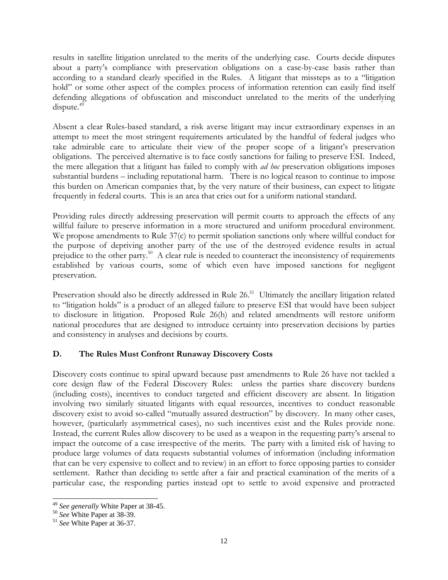results in satellite litigation unrelated to the merits of the underlying case. Courts decide disputes about a party's compliance with preservation obligations on a case-by-case basis rather than according to a standard clearly specified in the Rules. A litigant that missteps as to a "litigation hold" or some other aspect of the complex process of information retention can easily find itself defending allegations of obfuscation and misconduct unrelated to the merits of the underlying  $dispute.<sup>49</sup>$ 

Absent a clear Rules-based standard, a risk averse litigant may incur extraordinary expenses in an attempt to meet the most stringent requirements articulated by the handful of federal judges who take admirable care to articulate their view of the proper scope of a litigant's preservation obligations. The perceived alternative is to face costly sanctions for failing to preserve ESI. Indeed, the mere allegation that a litigant has failed to comply with *ad hoc* preservation obligations imposes substantial burdens – including reputational harm. There is no logical reason to continue to impose this burden on American companies that, by the very nature of their business, can expect to litigate frequently in federal courts. This is an area that cries out for a uniform national standard.

Providing rules directly addressing preservation will permit courts to approach the effects of any willful failure to preserve information in a more structured and uniform procedural environment. We propose amendments to Rule 37(c) to permit spoliation sanctions only where willful conduct for the purpose of depriving another party of the use of the destroyed evidence results in actual prejudice to the other party.50 A clear rule is needed to counteract the inconsistency of requirements established by various courts, some of which even have imposed sanctions for negligent preservation.

Preservation should also be directly addressed in Rule 26.<sup>51</sup> Ultimately the ancillary litigation related to "litigation holds" is a product of an alleged failure to preserve ESI that would have been subject to disclosure in litigation. Proposed Rule 26(h) and related amendments will restore uniform national procedures that are designed to introduce certainty into preservation decisions by parties and consistency in analyses and decisions by courts.

# **D. The Rules Must Confront Runaway Discovery Costs**

Discovery costs continue to spiral upward because past amendments to Rule 26 have not tackled a core design flaw of the Federal Discovery Rules: unless the parties share discovery burdens (including costs), incentives to conduct targeted and efficient discovery are absent. In litigation involving two similarly situated litigants with equal resources, incentives to conduct reasonable discovery exist to avoid so-called "mutually assured destruction" by discovery. In many other cases, however, (particularly asymmetrical cases), no such incentives exist and the Rules provide none. Instead, the current Rules allow discovery to be used as a weapon in the requesting party's arsenal to impact the outcome of a case irrespective of the merits. The party with a limited risk of having to produce large volumes of data requests substantial volumes of information (including information that can be very expensive to collect and to review) in an effort to force opposing parties to consider settlement. Rather than deciding to settle after a fair and practical examination of the merits of a particular case, the responding parties instead opt to settle to avoid expensive and protracted

l

<sup>49</sup> *See generally* White Paper at 38-45. 50 *See* White Paper at 38-39. 51 *See* White Paper at 36-37.